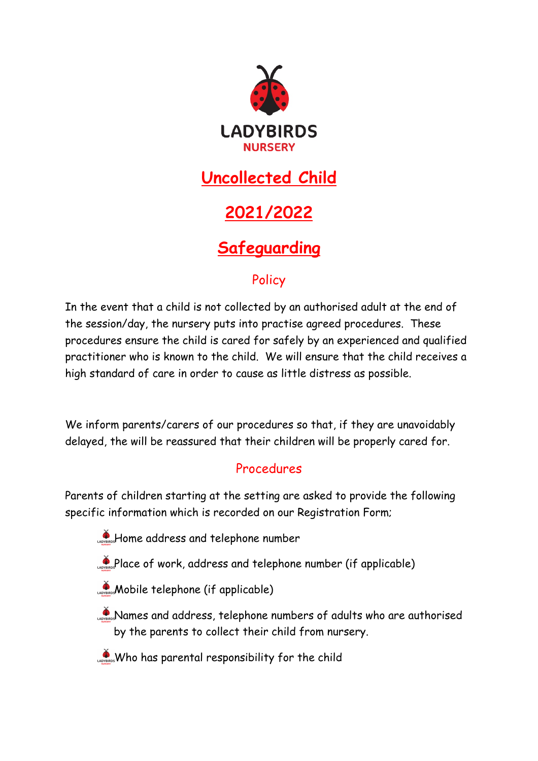

### **Uncollected Child**

# **2021/2022**

## **Safeguarding**

#### **Policy**

In the event that a child is not collected by an authorised adult at the end of the session/day, the nursery puts into practise agreed procedures. These procedures ensure the child is cared for safely by an experienced and qualified practitioner who is known to the child. We will ensure that the child receives a high standard of care in order to cause as little distress as possible.

We inform parents/carers of our procedures so that, if they are unavoidably delayed, the will be reassured that their children will be properly cared for.

#### Procedures

Parents of children starting at the setting are asked to provide the following specific information which is recorded on our Registration Form;

- **Home address and telephone number**
- Place of work, address and telephone number (if applicable)
- **Mobile telephone (if applicable)**
- **Names and address, telephone numbers of adults who are authorised** by the parents to collect their child from nursery.
- Who has parental responsibility for the child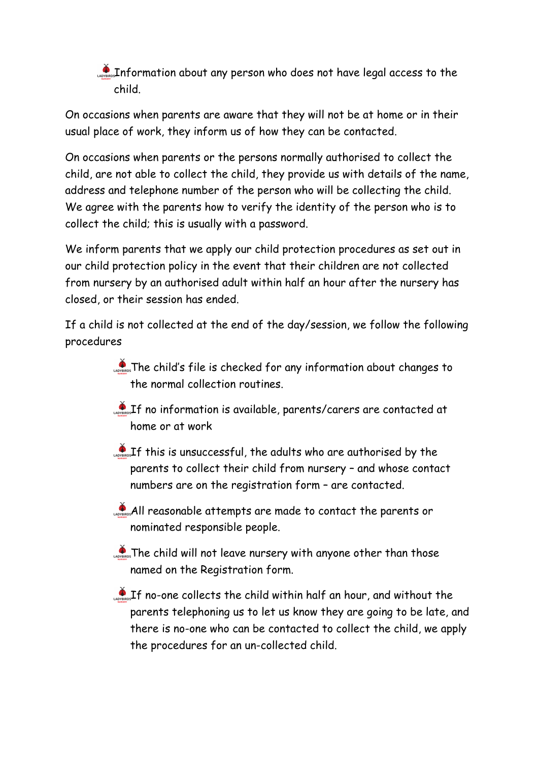Information about any person who does not have legal access to the child.

On occasions when parents are aware that they will not be at home or in their usual place of work, they inform us of how they can be contacted.

On occasions when parents or the persons normally authorised to collect the child, are not able to collect the child, they provide us with details of the name, address and telephone number of the person who will be collecting the child. We agree with the parents how to verify the identity of the person who is to collect the child; this is usually with a password.

We inform parents that we apply our child protection procedures as set out in our child protection policy in the event that their children are not collected from nursery by an authorised adult within half an hour after the nursery has closed, or their session has ended.

If a child is not collected at the end of the day/session, we follow the following procedures

- $\sum_{n=1}^{\infty}$  The child's file is checked for any information about changes to the normal collection routines.
- **If no information is available, parents/carers are contacted at** home or at work
- $\mathcal{L}_{\text{obs}}$  If this is unsuccessful, the adults who are authorised by the parents to collect their child from nursery – and whose contact numbers are on the registration form – are contacted.
- All reasonable attempts are made to contact the parents or nominated responsible people.
- **The child will not leave nursery with anyone other than those** named on the Registration form.
- $\mathcal{L}_{\text{obs}}$  If no-one collects the child within half an hour, and without the parents telephoning us to let us know they are going to be late, and there is no-one who can be contacted to collect the child, we apply the procedures for an un-collected child.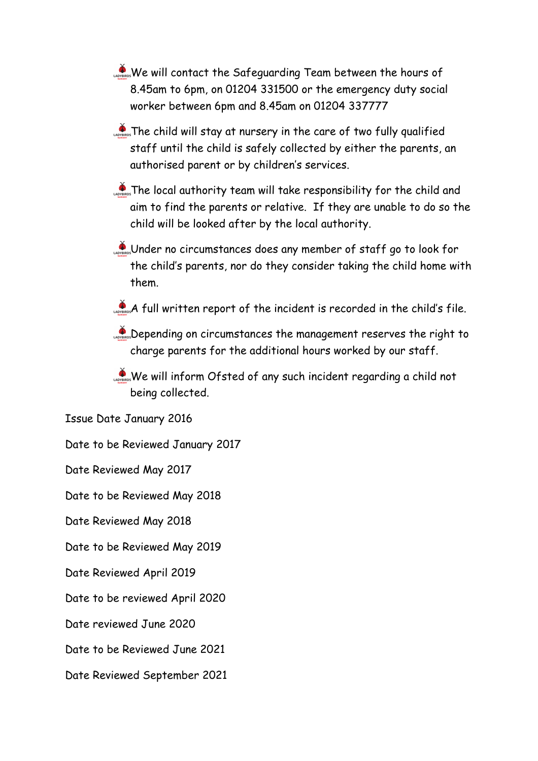- We will contact the Safeguarding Team between the hours of 8.45am to 6pm, on 01204 331500 or the emergency duty social worker between 6pm and 8.45am on 01204 337777
- **The child will stay at nursery in the care of two fully qualified** staff until the child is safely collected by either the parents, an authorised parent or by children's services.
- **The local authority team will take responsibility for the child and** aim to find the parents or relative. If they are unable to do so the child will be looked after by the local authority.
- Under no circumstances does any member of staff go to look for the child's parents, nor do they consider taking the child home with them.
- $\sum_{\text{corresponds}} A$  full written report of the incident is recorded in the child's file.
- Depending on circumstances the management reserves the right to charge parents for the additional hours worked by our staff.
- We will inform Ofsted of any such incident regarding a child not being collected.

Issue Date January 2016

Date to be Reviewed January 2017

Date Reviewed May 2017

Date to be Reviewed May 2018

Date Reviewed May 2018

Date to be Reviewed May 2019

Date Reviewed April 2019

Date to be reviewed April 2020

Date reviewed June 2020

Date to be Reviewed June 2021

Date Reviewed September 2021